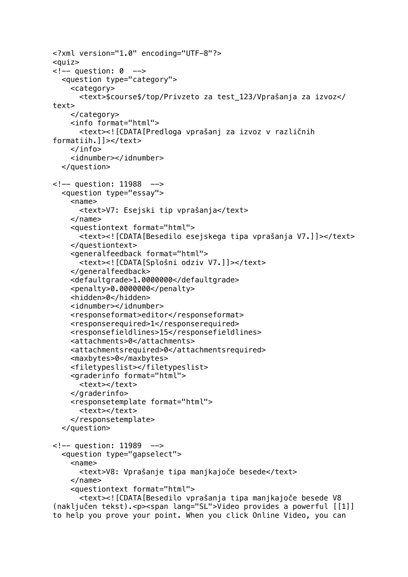```
<?xml version="1.0" encoding="UTF-8"?>
<quiz>
\leq !-- question: 0 -->
   <question type="category">
     <category>
       <text>$course$/top/Privzeto za test_123/Vprašanja za izvoz</
text>
     </category>
     <info format="html">
       <text><![CDATA[Predloga vprašanj za izvoz v različnih 
formatiih.]]></text>
     </info>
     <idnumber></idnumber>
   </question>
<!-- question: 11988 -->
   <question type="essay">
    <sub>name></sub></sub>
       <text>V7: Esejski tip vprašanja</text>
     </name>
     <questiontext format="html">
       <text><![CDATA[Besedilo esejskega tipa vprašanja V7.]]></text>
     </questiontext>
     <generalfeedback format="html">
       <text><![CDATA[Splošni odziv V7.]]></text>
     </generalfeedback>
     <defaultgrade>1.0000000</defaultgrade>
     <penalty>0.0000000</penalty>
     <hidden>0</hidden>
     <idnumber></idnumber>
     <responseformat>editor</responseformat>
     <responserequired>1</responserequired>
     <responsefieldlines>15</responsefieldlines>
     <attachments>0</attachments>
     <attachmentsrequired>0</attachmentsrequired>
     <maxbytes>0</maxbytes>
     <filetypeslist></filetypeslist>
     <graderinfo format="html">
       <text></text>
     </graderinfo>
     <responsetemplate format="html">
      <text></text>
     </responsetemplate>
   </question>
<!-- question: 11989 -->
   <question type="gapselect">
     <name>
       <text>V8: Vprašanje tipa manjkajoče besede</text>
     </name>
     <questiontext format="html">
       <text><![CDATA[Besedilo vprašanja tipa manjkajoče besede V8 
(naključen tekst).<p><span lang="SL">Video provides a powerful [[1]] 
to help you prove your point. When you click Online Video, you can
```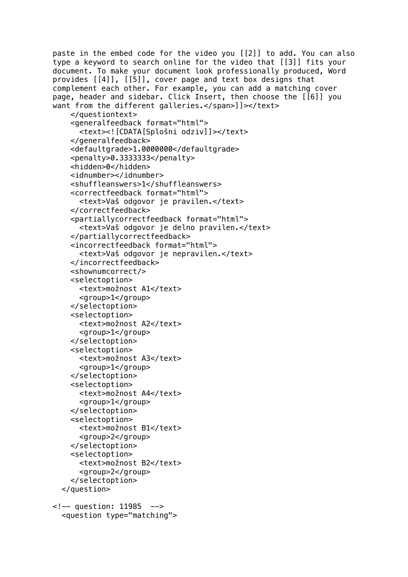paste in the embed code for the video you [[2]] to add. You can also type a keyword to search online for the video that [[3]] fits your document. To make your document look professionally produced, Word provides [[4]], [[5]], cover page and text box designs that complement each other. For example, you can add a matching cover page, header and sidebar. Click Insert, then choose the [[6]] you want from the different galleries.</span>]]></text> </questiontext> <generalfeedback format="html"> <text><![CDATA[Splošni odziv]]></text> </generalfeedback> <defaultgrade>1.0000000</defaultgrade> <penalty>0.3333333</penalty> <hidden>0</hidden> <idnumber></idnumber> <shuffleanswers>1</shuffleanswers> <correctfeedback format="html"> <text>Vaš odgovor je pravilen.</text> </correctfeedback> <partiallycorrectfeedback format="html"> <text>Vaš odgovor je delno pravilen.</text> </partiallycorrectfeedback> <incorrectfeedback format="html"> <text>Vaš odgovor je nepravilen.</text> </incorrectfeedback> <shownumcorrect/> <selectoption> <text>možnost A1</text> <group>1</group> </selectoption> <selectoption> <text>možnost A2</text> <group>1</group> </selectoption> <selectoption> <text>možnost A3</text> <group>1</group> </selectoption> <selectoption> <text>možnost A4</text> <group>1</group> </selectoption> <selectoption> <text>možnost B1</text> <group>2</group> </selectoption> <selectoption> <text>možnost B2</text> <group>2</group> </selectoption> </question> <!-- question: 11985 -->

<question type="matching">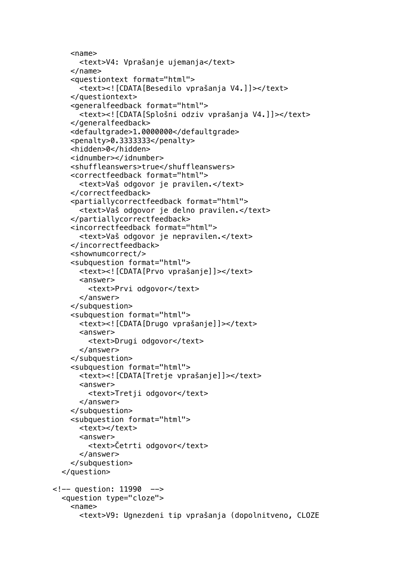```
<name> <text>V4: Vprašanje ujemanja</text>
     </name>
     <questiontext format="html">
       <text><![CDATA[Besedilo vprašanja V4.]]></text>
     </questiontext>
     <generalfeedback format="html">
       <text><![CDATA[Splošni odziv vprašanja V4.]]></text>
     </generalfeedback>
     <defaultgrade>1.0000000</defaultgrade>
     <penalty>0.3333333</penalty>
     <hidden>0</hidden>
     <idnumber></idnumber>
     <shuffleanswers>true</shuffleanswers>
     <correctfeedback format="html">
       <text>Vaš odgovor je pravilen.</text>
     </correctfeedback>
     <partiallycorrectfeedback format="html">
       <text>Vaš odgovor je delno pravilen.</text>
     </partiallycorrectfeedback>
     <incorrectfeedback format="html">
       <text>Vaš odgovor je nepravilen.</text>
     </incorrectfeedback>
     <shownumcorrect/>
     <subquestion format="html">
       <text><![CDATA[Prvo vprašanje]]></text>
       <answer>
         <text>Prvi odgovor</text>
       </answer>
     </subquestion>
     <subquestion format="html">
       <text><![CDATA[Drugo vprašanje]]></text>
       <answer>
         <text>Drugi odgovor</text>
       </answer>
     </subquestion>
     <subquestion format="html">
       <text><![CDATA[Tretje vprašanje]]></text>
       <answer>
         <text>Tretji odgovor</text>
       </answer>
     </subquestion>
     <subquestion format="html">
      <text></text>
      <sub>answer</sub></sub>
         <text>Četrti odgovor</text>
       </answer>
     </subquestion>
   </question>
<!-- question: 11990 -->
   <question type="cloze">
    <name> <text>V9: Ugnezdeni tip vprašanja (dopolnitveno, CLOZE
```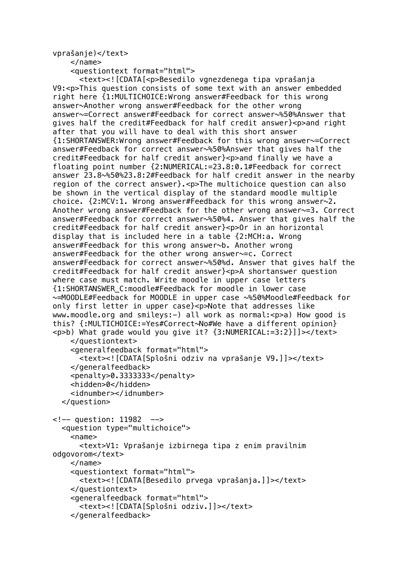## vprašanje)</text>

</name>

<questiontext format="html">

```
 <text><![CDATA[<p>Besedilo vgnezdenega tipa vprašanja 
V9:<p>This question consists of some text with an answer embedded 
right here {1:MULTICHOICE:Wrong answer#Feedback for this wrong 
answer~Another wrong answer#Feedback for the other wrong 
answer~=Correct answer#Feedback for correct answer~%50%Answer that 
gives half the credit#Feedback for half credit answer}<p>and right 
after that you will have to deal with this short answer 
{1:SHORTANSWER:Wrong answer#Feedback for this wrong answer~=Correct 
answer#Feedback for correct answer~%50%Answer that gives half the 
credit#Feedback for half credit answer}<p>and finally we have a 
floating point number {2:NUMERICAL:=23.8:0.1#Feedback for correct 
answer 23.8~%50%23.8:2#Feedback for half credit answer in the nearby 
region of the correct answer}.<p>The multichoice question can also
be shown in the vertical display of the standard moodle multiple 
choice. \{2:MCV:1. Wrong answer#Feedback for this wrong answer\sim 2.
Another wrong answer#Feedback for the other wrong answer~=3. Correct 
answer#Feedback for correct answer~%50%4. Answer that gives half the 
credit#Feedback for half credit answer}<p>0r in an horizontal
display that is included here in a table {2:MCH:a. Wrong 
answer#Feedback for this wrong answer~b. Another wrong 
answer#Feedback for the other wrong answer~=c. Correct 
answer#Feedback for correct answer~%50%d. Answer that gives half the 
credit#Feedback for half credit answer}<p>A shortanswer question 
where case must match. Write moodle in upper case letters 
{1:SHORTANSWER_C:moodle#Feedback for moodle in lower case 
~=MOODLE#Feedback for MOODLE in upper case ~%50%Moodle#Feedback for 
only first letter in upper case}<p>Note that addresses like 
www.moodle.org and smileys:-) all work as normal:<p>a) How good is 
this? {:MULTICHOICE:=Yes#Correct~No#We have a different opinion}
<p>b) What grade would you give it? \{3:NUMERICAL:=3:2\}])></text>
     </questiontext>
     <generalfeedback format="html">
       <text><![CDATA[Splošni odziv na vprašanje V9.]]></text>
     </generalfeedback>
     <penalty>0.3333333</penalty>
     <hidden>0</hidden>
     <idnumber></idnumber>
   </question>
<!-- question: 11982 -->
   <question type="multichoice">
    <name> <text>V1: Vprašanje izbirnega tipa z enim pravilnim 
odgovorom</text>
     </name>
     <questiontext format="html">
       <text><![CDATA[Besedilo prvega vprašanja.]]></text>
     </questiontext>
     <generalfeedback format="html">
       <text><![CDATA[Splošni odziv.]]></text>
     </generalfeedback>
```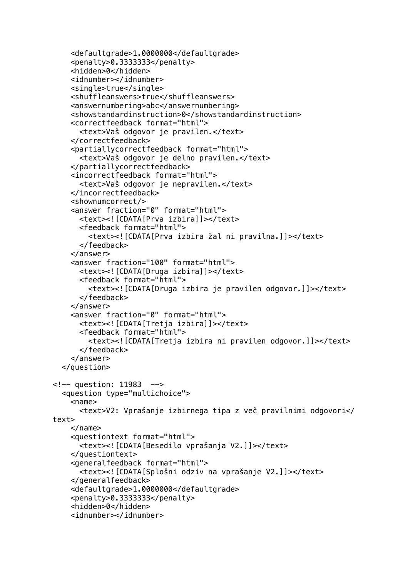```
 <defaultgrade>1.0000000</defaultgrade>
     <penalty>0.3333333</penalty>
     <hidden>0</hidden>
     <idnumber></idnumber>
     <single>true</single>
     <shuffleanswers>true</shuffleanswers>
     <answernumbering>abc</answernumbering>
     <showstandardinstruction>0</showstandardinstruction>
     <correctfeedback format="html">
       <text>Vaš odgovor je pravilen.</text>
     </correctfeedback>
     <partiallycorrectfeedback format="html">
       <text>Vaš odgovor je delno pravilen.</text>
     </partiallycorrectfeedback>
     <incorrectfeedback format="html">
       <text>Vaš odgovor je nepravilen.</text>
     </incorrectfeedback>
     <shownumcorrect/>
     <answer fraction="0" format="html">
       <text><![CDATA[Prva izbira]]></text>
       <feedback format="html">
         <text><![CDATA[Prva izbira žal ni pravilna.]]></text>
       </feedback>
     </answer>
     <answer fraction="100" format="html">
       <text><![CDATA[Druga izbira]]></text>
       <feedback format="html">
         <text><![CDATA[Druga izbira je pravilen odgovor.]]></text>
       </feedback>
     </answer>
     <answer fraction="0" format="html">
       <text><![CDATA[Tretja izbira]]></text>
       <feedback format="html">
         <text><![CDATA[Tretja izbira ni pravilen odgovor.]]></text>
       </feedback>
     </answer>
   </question>
<!-- question: 11983 -->
   <question type="multichoice">
    <sub>name></sub></sub>
       <text>V2: Vprašanje izbirnega tipa z več pravilnimi odgovori</
text>
     </name>
     <questiontext format="html">
       <text><![CDATA[Besedilo vprašanja V2.]]></text>
     </questiontext>
     <generalfeedback format="html">
       <text><![CDATA[Splošni odziv na vprašanje V2.]]></text>
     </generalfeedback>
     <defaultgrade>1.0000000</defaultgrade>
     <penalty>0.3333333</penalty>
     <hidden>0</hidden>
     <idnumber></idnumber>
```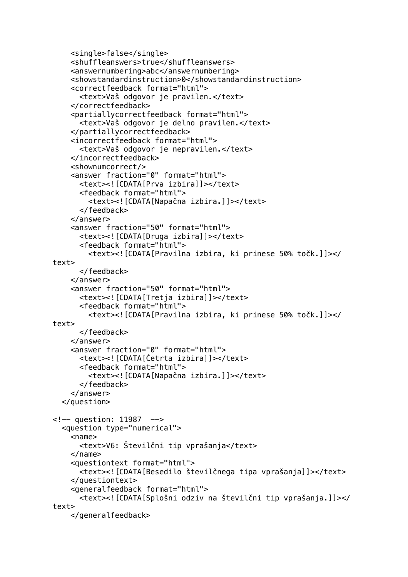```
 <single>false</single>
     <shuffleanswers>true</shuffleanswers>
     <answernumbering>abc</answernumbering>
     <showstandardinstruction>0</showstandardinstruction>
     <correctfeedback format="html">
       <text>Vaš odgovor je pravilen.</text>
     </correctfeedback>
     <partiallycorrectfeedback format="html">
       <text>Vaš odgovor je delno pravilen.</text>
     </partiallycorrectfeedback>
     <incorrectfeedback format="html">
       <text>Vaš odgovor je nepravilen.</text>
     </incorrectfeedback>
     <shownumcorrect/>
     <answer fraction="0" format="html">
       <text><![CDATA[Prva izbira]]></text>
       <feedback format="html">
         <text><![CDATA[Napačna izbira.]]></text>
       </feedback>
     </answer>
     <answer fraction="50" format="html">
       <text><![CDATA[Druga izbira]]></text>
       <feedback format="html">
         <text><![CDATA[Pravilna izbira, ki prinese 50% točk.]]></
text>
       </feedback>
     </answer>
     <answer fraction="50" format="html">
       <text><![CDATA[Tretja izbira]]></text>
       <feedback format="html">
         <text><![CDATA[Pravilna izbira, ki prinese 50% točk.]]></
text>
       </feedback>
     </answer>
     <answer fraction="0" format="html">
       <text><![CDATA[Četrta izbira]]></text>
       <feedback format="html">
         <text><![CDATA[Napačna izbira.]]></text>
       </feedback>
     </answer>
   </question>
<!-- question: 11987 -->
   <question type="numerical">
    <name> <text>V6: Številčni tip vprašanja</text>
     </name>
     <questiontext format="html">
       <text><![CDATA[Besedilo številčnega tipa vprašanja]]></text>
     </questiontext>
     <generalfeedback format="html">
       <text><![CDATA[Splošni odziv na številčni tip vprašanja.]]></
text>
     </generalfeedback>
```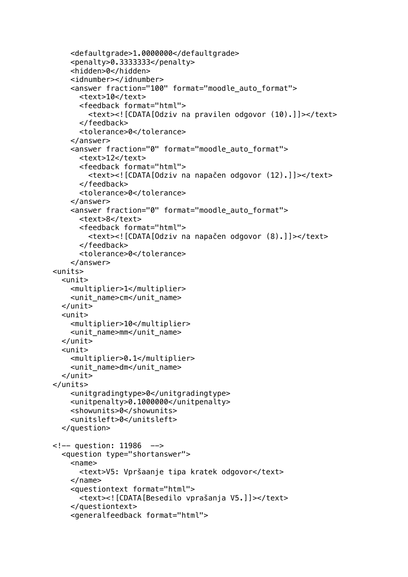```
 <defaultgrade>1.0000000</defaultgrade>
     <penalty>0.3333333</penalty>
     <hidden>0</hidden>
     <idnumber></idnumber>
     <answer fraction="100" format="moodle_auto_format">
      <text>10</text>
       <feedback format="html">
         <text><![CDATA[Odziv na pravilen odgovor (10).]]></text>
       </feedback>
       <tolerance>0</tolerance>
     </answer>
     <answer fraction="0" format="moodle_auto_format">
      <text>12</text>
       <feedback format="html">
         <text><![CDATA[Odziv na napačen odgovor (12).]]></text>
       </feedback>
       <tolerance>0</tolerance>
     </answer>
     <answer fraction="0" format="moodle_auto_format">
       <text>8</text>
       <feedback format="html">
         <text><![CDATA[Odziv na napačen odgovor (8).]]></text>
       </feedback>
       <tolerance>0</tolerance>
     </answer>
<units>
   <unit>
     <multiplier>1</multiplier>
     <unit_name>cm</unit_name>
  \langlelunit\rangle <unit>
     <multiplier>10</multiplier>
     <unit_name>mm</unit_name>
   </unit>
   <unit>
     <multiplier>0.1</multiplier>
     <unit_name>dm</unit_name>
   </unit>
</units>
     <unitgradingtype>0</unitgradingtype>
     <unitpenalty>0.1000000</unitpenalty>
     <showunits>0</showunits>
     <unitsleft>0</unitsleft>
   </question>
<!-- question: 11986 -->
   <question type="shortanswer">
     <name>
       <text>V5: Vpršaanje tipa kratek odgovor</text>
     </name>
     <questiontext format="html">
       <text><![CDATA[Besedilo vprašanja V5.]]></text>
     </questiontext>
     <generalfeedback format="html">
```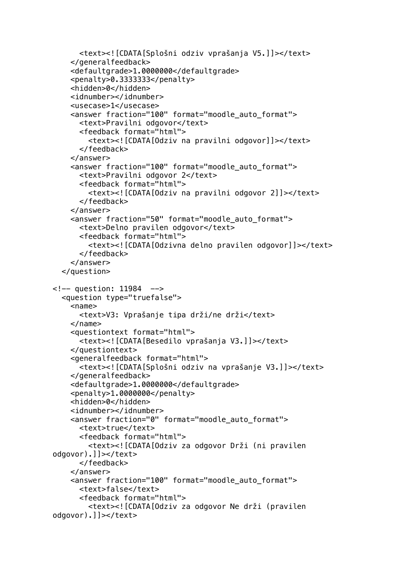```
 <text><![CDATA[Splošni odziv vprašanja V5.]]></text>
     </generalfeedback>
     <defaultgrade>1.0000000</defaultgrade>
     <penalty>0.3333333</penalty>
     <hidden>0</hidden>
     <idnumber></idnumber>
     <usecase>1</usecase>
     <answer fraction="100" format="moodle_auto_format">
       <text>Pravilni odgovor</text>
       <feedback format="html">
         <text><![CDATA[Odziv na pravilni odgovor]]></text>
       </feedback>
     </answer>
     <answer fraction="100" format="moodle_auto_format">
       <text>Pravilni odgovor 2</text>
       <feedback format="html">
         <text><![CDATA[Odziv na pravilni odgovor 2]]></text>
       </feedback>
     </answer>
     <answer fraction="50" format="moodle_auto_format">
       <text>Delno pravilen odgovor</text>
       <feedback format="html">
         <text><![CDATA[Odzivna delno pravilen odgovor]]></text>
       </feedback>
     </answer>
   </question>
<!-- question: 11984 -->
   <question type="truefalse">
    <name> <text>V3: Vprašanje tipa drži/ne drži</text>
     </name>
     <questiontext format="html">
       <text><![CDATA[Besedilo vprašanja V3.]]></text>
     </questiontext>
     <generalfeedback format="html">
       <text><![CDATA[Splošni odziv na vprašanje V3.]]></text>
     </generalfeedback>
     <defaultgrade>1.0000000</defaultgrade>
     <penalty>1.0000000</penalty>
     <hidden>0</hidden>
    <idnumber></idnumber>
     <answer fraction="0" format="moodle_auto_format">
       <text>true</text>
       <feedback format="html">
         <text><![CDATA[Odziv za odgovor Drži (ni pravilen 
odgovor).]]></text>
       </feedback>
     </answer>
     <answer fraction="100" format="moodle_auto_format">
       <text>false</text>
       <feedback format="html">
         <text><![CDATA[Odziv za odgovor Ne drži (pravilen 
odgovor).]]></text>
```